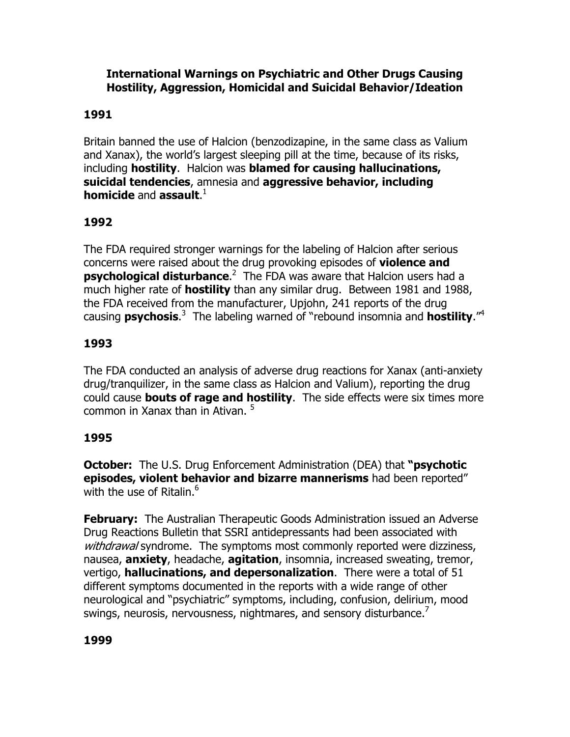#### International Warnings on Psychiatric and Other Drugs Causing Hostility, Aggression, Homicidal and Suicidal Behavior/Ideation

### 1991

Britain banned the use of Halcion (benzodizapine, in the same class as Valium and Xanax), the world's largest sleeping pill at the time, because of its risks, including hostility. Halcion was blamed for causing hallucinations, suicidal tendencies, amnesia and aggressive behavior, including homicide and assault.<sup>1</sup>

## 1992

The FDA required stronger warnings for the labeling of Halcion after serious concerns were raised about the drug provoking episodes of **violence and psychological disturbance.**<sup>2</sup> The FDA was aware that Halcion users had a much higher rate of **hostility** than any similar drug. Between 1981 and 1988, the FDA received from the manufacturer, Upjohn, 241 reports of the drug causing **psychosis.**<sup>3</sup> The labeling warned of "rebound insomnia and **hostility.**"<sup>4</sup>

# 1993

The FDA conducted an analysis of adverse drug reactions for Xanax (anti-anxiety drug/tranquilizer, in the same class as Halcion and Valium), reporting the drug could cause **bouts of rage and hostility**. The side effects were six times more common in Xanax than in Ativan. <sup>5</sup>

### 1995

**October:** The U.S. Drug Enforcement Administration (DEA) that "**psychotic** episodes, violent behavior and bizarre mannerisms had been reported" with the use of Ritalin.<sup>6</sup>

**February:** The Australian Therapeutic Goods Administration issued an Adverse Drug Reactions Bulletin that SSRI antidepressants had been associated with withdrawal syndrome. The symptoms most commonly reported were dizziness, nausea, **anxiety**, headache, **agitation**, insomnia, increased sweating, tremor, vertigo, **hallucinations, and depersonalization**. There were a total of 51 different symptoms documented in the reports with a wide range of other neurological and "psychiatric" symptoms, including, confusion, delirium, mood swings, neurosis, nervousness, nightmares, and sensory disturbance. $\prime$ 

# 1999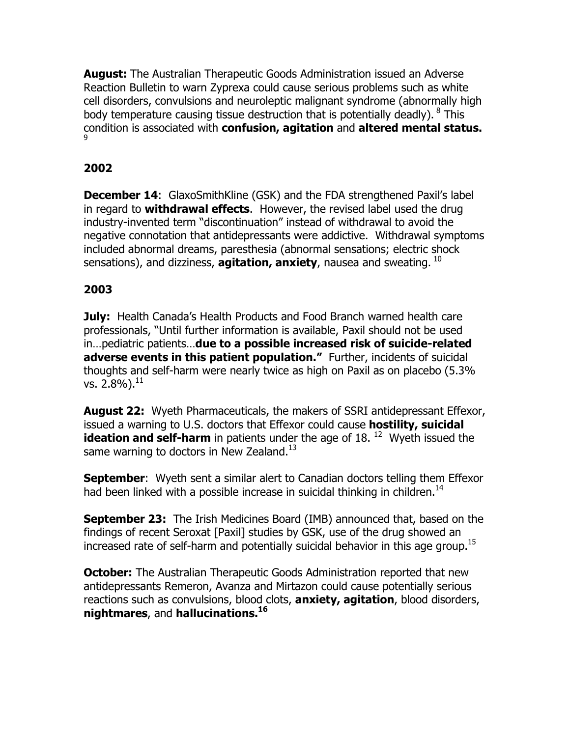**August:** The Australian Therapeutic Goods Administration issued an Adverse Reaction Bulletin to warn Zyprexa could cause serious problems such as white cell disorders, convulsions and neuroleptic malignant syndrome (abnormally high body temperature causing tissue destruction that is potentially deadly).  $8$  This condition is associated with confusion, agitation and altered mental status. 9

# 2002

December 14: GlaxoSmithKline (GSK) and the FDA strengthened Paxil's label in regard to **withdrawal effects**. However, the revised label used the drug industry-invented term "discontinuation" instead of withdrawal to avoid the negative connotation that antidepressants were addictive. Withdrawal symptoms included abnormal dreams, paresthesia (abnormal sensations; electric shock sensations), and dizziness, **agitation, anxiety**, nausea and sweating.  $^{10}$ 

### 2003

July: Health Canada's Health Products and Food Branch warned health care professionals, "Until further information is available, Paxil should not be used in…pediatric patients…due to a possible increased risk of suicide-related adverse events in this patient population." Further, incidents of suicidal thoughts and self-harm were nearly twice as high on Paxil as on placebo (5.3% vs.  $2.8\%$ ).  $^{11}$ 

**August 22:** Wyeth Pharmaceuticals, the makers of SSRI antidepressant Effexor, issued a warning to U.S. doctors that Effexor could cause **hostility, suicidal** ideation and self-harm in patients under the age of  $18.$   $^{12}$  Wyeth issued the same warning to doctors in New Zealand. $^{13}$ 

**September:** Wyeth sent a similar alert to Canadian doctors telling them Effexor had been linked with a possible increase in suicidal thinking in children.<sup>14</sup>

**September 23:** The Irish Medicines Board (IMB) announced that, based on the findings of recent Seroxat [Paxil] studies by GSK, use of the drug showed an increased rate of self-harm and potentially suicidal behavior in this age group.<sup>15</sup>

**October:** The Australian Therapeutic Goods Administration reported that new antidepressants Remeron, Avanza and Mirtazon could cause potentially serious reactions such as convulsions, blood clots, **anxiety, agitation**, blood disorders, nightmares, and hallucinations.<sup>16</sup>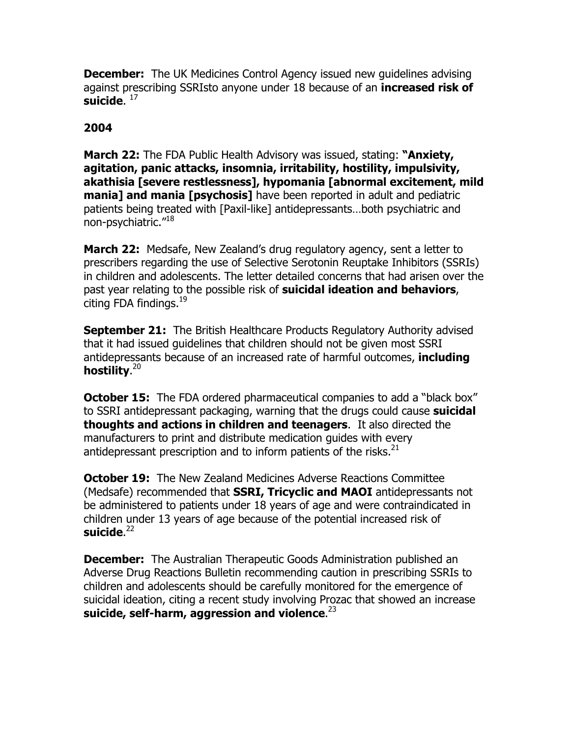**December:** The UK Medicines Control Agency issued new quidelines advising against prescribing SSRIsto anyone under 18 because of an **increased risk of** suicide.  $^{\mathrm{17}}$ 

#### 2004

**March 22:** The FDA Public Health Advisory was issued, stating: "Anxiety, agitation, panic attacks, insomnia, irritability, hostility, impulsivity, akathisia [severe restlessness], hypomania [abnormal excitement, mild **mania] and mania [psychosis]** have been reported in adult and pediatric patients being treated with [Paxil-like] antidepressants…both psychiatric and non-psychiatric."<sup>18</sup>

**March 22:** Medsafe, New Zealand's drug regulatory agency, sent a letter to prescribers regarding the use of Selective Serotonin Reuptake Inhibitors (SSRIs) in children and adolescents. The letter detailed concerns that had arisen over the past year relating to the possible risk of **suicidal ideation and behaviors**, citing FDA findings.<sup>19</sup>

**September 21:** The British Healthcare Products Regulatory Authority advised that it had issued guidelines that children should not be given most SSRI antidepressants because of an increased rate of harmful outcomes, **including** hostility.<sup>20</sup>

**October 15:** The FDA ordered pharmaceutical companies to add a "black box" to SSRI antidepressant packaging, warning that the drugs could cause **suicidal** thoughts and actions in children and teenagers. It also directed the manufacturers to print and distribute medication guides with every antidepressant prescription and to inform patients of the risks. $^{21}$ 

**October 19:** The New Zealand Medicines Adverse Reactions Committee (Medsafe) recommended that **SSRI, Tricyclic and MAOI** antidepressants not be administered to patients under 18 years of age and were contraindicated in children under 13 years of age because of the potential increased risk of suicide. $^{22}$ 

**December:** The Australian Therapeutic Goods Administration published an Adverse Drug Reactions Bulletin recommending caution in prescribing SSRIs to children and adolescents should be carefully monitored for the emergence of suicidal ideation, citing a recent study involving Prozac that showed an increase suicide, self-harm, aggression and violence. $^{23}$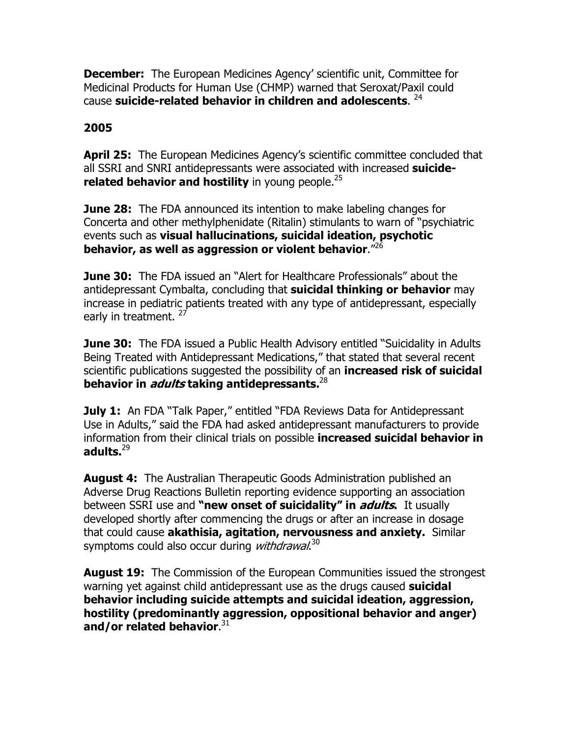**December:** The European Medicines Agency' scientific unit, Committee for Medicinal Products for Human Use (CHMP) warned that Seroxat/Paxil could cause suicide-related behavior in children and adolescents.  $^{24}$ 

## 2005

April 25: The European Medicines Agency's scientific committee concluded that all SSRI and SNRI antidepressants were associated with increased suiciderelated behavior and hostility in young people. $25$ 

**June 28:** The FDA announced its intention to make labeling changes for Concerta and other methylphenidate (Ritalin) stimulants to warn of "psychiatric events such as **visual hallucinations, suicidal ideation, psychotic** behavior, as well as aggression or violent behavior." $^{26}$ 

**June 30:** The FDA issued an "Alert for Healthcare Professionals" about the antidepressant Cymbalta, concluding that **suicidal thinking or behavior** may increase in pediatric patients treated with any type of antidepressant, especially early in treatment.<sup>27</sup>

**June 30:** The FDA issued a Public Health Advisory entitled "Suicidality in Adults Being Treated with Antidepressant Medications," that stated that several recent scientific publications suggested the possibility of an **increased risk of suicidal** behavior in *adults* taking antidepressants.<sup>28</sup>

**July 1:** An FDA "Talk Paper," entitled "FDA Reviews Data for Antidepressant Use in Adults," said the FDA had asked antidepressant manufacturers to provide information from their clinical trials on possible **increased suicidal behavior in** adults. $^{29}$ 

**August 4:** The Australian Therapeutic Goods Administration published an Adverse Drug Reactions Bulletin reporting evidence supporting an association between SSRI use and "new onset of suicidality" in *adults*. It usually developed shortly after commencing the drugs or after an increase in dosage that could cause akathisia, agitation, nervousness and anxiety. Similar symptoms could also occur during *withdrawal*.<sup>30</sup>

**August 19:** The Commission of the European Communities issued the strongest warning yet against child antidepressant use as the drugs caused **suicidal** behavior including suicide attempts and suicidal ideation, aggression, hostility (predominantly aggression, oppositional behavior and anger) and/or related behavior. $^{31}$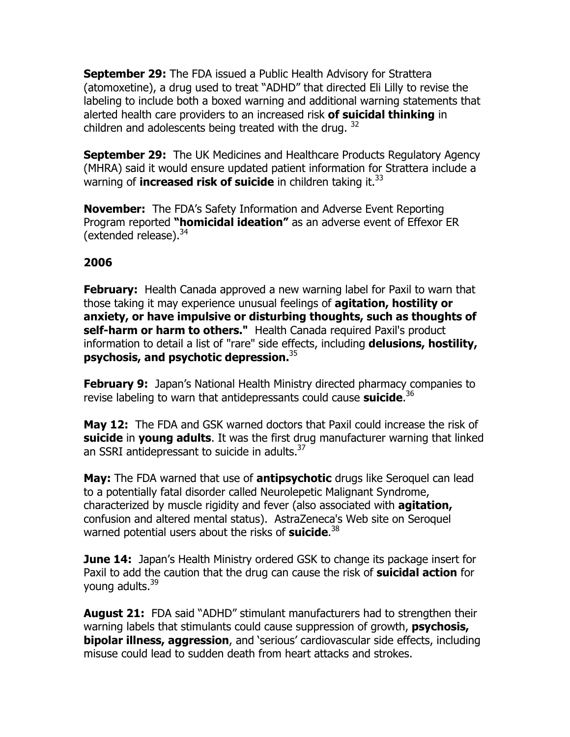September 29: The FDA issued a Public Health Advisory for Strattera (atomoxetine), a drug used to treat "ADHD" that directed Eli Lilly to revise the labeling to include both a boxed warning and additional warning statements that alerted health care providers to an increased risk **of suicidal thinking** in children and adolescents being treated with the drug.  $32$ 

**September 29:** The UK Medicines and Healthcare Products Regulatory Agency (MHRA) said it would ensure updated patient information for Strattera include a warning of **increased risk of suicide** in children taking it. $33$ 

**November:** The FDA's Safety Information and Adverse Event Reporting Program reported "**homicidal ideation"** as an adverse event of Effexor ER (extended release). $34$ 

### 2006

**February:** Health Canada approved a new warning label for Paxil to warn that those taking it may experience unusual feelings of **agitation, hostility or** anxiety, or have impulsive or disturbing thoughts, such as thoughts of self-harm or harm to others." Health Canada required Paxil's product information to detail a list of "rare" side effects, including **delusions, hostility,** psychosis, and psychotic depression.<sup>35</sup>

**February 9:** Japan's National Health Ministry directed pharmacy companies to revise labeling to warn that antidepressants could cause suicide.<sup>36</sup>

May 12: The FDA and GSK warned doctors that Paxil could increase the risk of suicide in young adults. It was the first drug manufacturer warning that linked an SSRI antidepressant to suicide in adults.<sup>37</sup>

May: The FDA warned that use of antipsychotic drugs like Seroquel can lead to a potentially fatal disorder called Neurolepetic Malignant Syndrome, characterized by muscle rigidity and fever (also associated with **agitation,** confusion and altered mental status). AstraZeneca's Web site on Seroquel warned potential users about the risks of suicide.<sup>38</sup>

**June 14:** Japan's Health Ministry ordered GSK to change its package insert for Paxil to add the caution that the drug can cause the risk of **suicidal action** for young adults.<sup>39</sup>

**August 21:** FDA said "ADHD" stimulant manufacturers had to strengthen their warning labels that stimulants could cause suppression of growth, **psychosis, bipolar illness, aggression**, and 'serious' cardiovascular side effects, including misuse could lead to sudden death from heart attacks and strokes.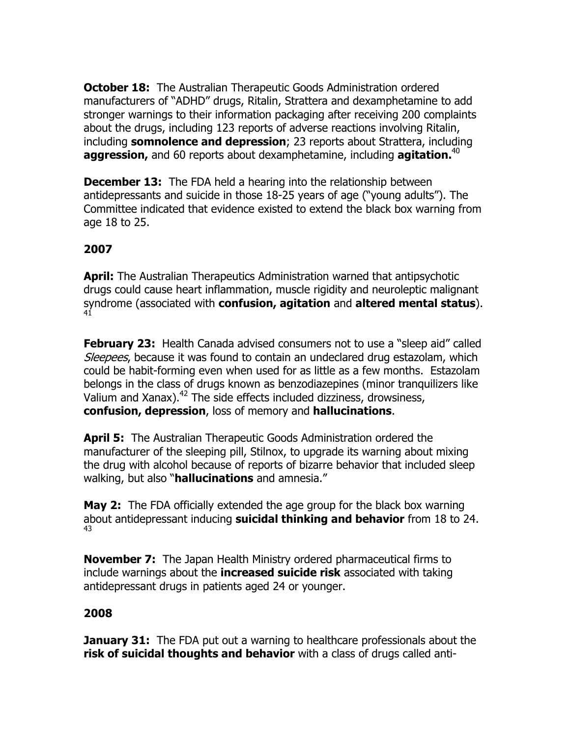**October 18:** The Australian Therapeutic Goods Administration ordered manufacturers of "ADHD" drugs, Ritalin, Strattera and dexamphetamine to add stronger warnings to their information packaging after receiving 200 complaints about the drugs, including 123 reports of adverse reactions involving Ritalin, including somnolence and depression; 23 reports about Strattera, including **aggression,** and 60 reports about dexamphetamine, including **agitation.**<sup>40</sup>

**December 13:** The FDA held a hearing into the relationship between antidepressants and suicide in those 18-25 years of age ("young adults"). The Committee indicated that evidence existed to extend the black box warning from age 18 to 25.

## 2007

**April:** The Australian Therapeutics Administration warned that antipsychotic drugs could cause heart inflammation, muscle rigidity and neuroleptic malignant syndrome (associated with confusion, agitation and altered mental status). 41

**February 23:** Health Canada advised consumers not to use a "sleep aid" called Sleepees, because it was found to contain an undeclared drug estazolam, which could be habit-forming even when used for as little as a few months. Estazolam belongs in the class of drugs known as benzodiazepines (minor tranquilizers like Valium and Xanax).<sup>42</sup> The side effects included dizziness, drowsiness, confusion, depression, loss of memory and hallucinations.

April 5: The Australian Therapeutic Goods Administration ordered the manufacturer of the sleeping pill, Stilnox, to upgrade its warning about mixing the drug with alcohol because of reports of bizarre behavior that included sleep walking, but also "**hallucinations** and amnesia."

**May 2:** The FDA officially extended the age group for the black box warning about antidepressant inducing suicidal thinking and behavior from 18 to 24. 43

**November 7:** The Japan Health Ministry ordered pharmaceutical firms to include warnings about the **increased suicide risk** associated with taking antidepressant drugs in patients aged 24 or younger.

### 2008

**January 31:** The FDA put out a warning to healthcare professionals about the risk of suicidal thoughts and behavior with a class of drugs called anti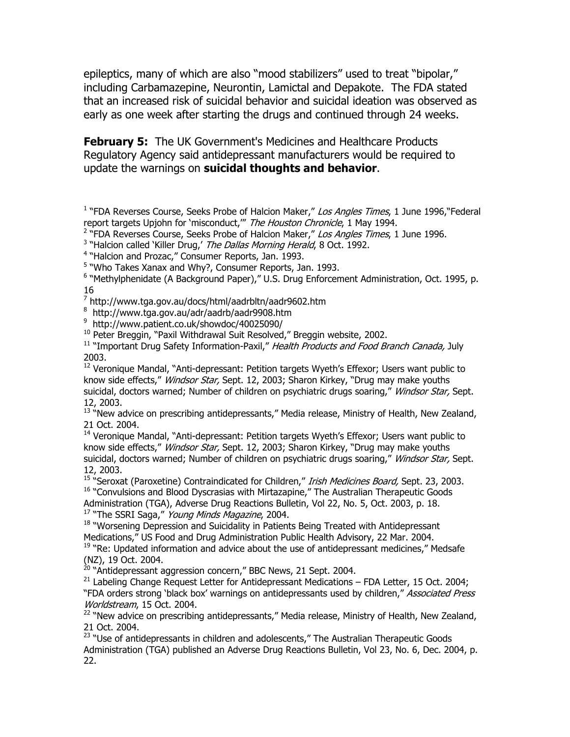epileptics, many of which are also "mood stabilizers" used to treat "bipolar," including Carbamazepine, Neurontin, Lamictal and Depakote. The FDA stated that an increased risk of suicidal behavior and suicidal ideation was observed as early as one week after starting the drugs and continued through 24 weeks.

**February 5:** The UK Government's Medicines and Healthcare Products Regulatory Agency said antidepressant manufacturers would be required to update the warnings on **suicidal thoughts and behavior**.

<sup>1</sup> "FDA Reverses Course, Seeks Probe of Halcion Maker," Los Angles Times, 1 June 1996, "Federal report targets Upjohn for 'misconduct," The Houston Chronicle, 1 May 1994.

<sup>2</sup> "FDA Reverses Course, Seeks Probe of Halcion Maker," Los Angles Times, 1 June 1996.

<sup>3</sup> "Halcion called 'Killer Drug,' The Dallas Morning Herald, 8 Oct. 1992.

<sup>4</sup> "Halcion and Prozac," Consumer Reports, Jan. 1993.

<sup>5</sup> "Who Takes Xanax and Why?, Consumer Reports, Jan. 1993.

<sup>6</sup> "Methylphenidate (A Background Paper)," U.S. Drug Enforcement Administration, Oct. 1995, p. 16

<sup>7</sup> http://www.tga.gov.au/docs/html/aadrbltn/aadr9602.htm

8 http://www.tga.gov.au/adr/aadrb/aadr9908.htm

9 http://www.patient.co.uk/showdoc/40025090/

<sup>10</sup> Peter Breggin, "Paxil Withdrawal Suit Resolved," Breggin website, 2002.

<sup>11</sup> "Important Drug Safety Information-Paxil," Health Products and Food Branch Canada, July 2003.

 $12$  Veronique Mandal, "Anti-depressant: Petition targets Wyeth's Effexor; Users want public to know side effects," *Windsor Star,* Sept. 12, 2003; Sharon Kirkey, "Drug may make youths suicidal, doctors warned; Number of children on psychiatric drugs soaring," Windsor Star, Sept. 12, 2003.

<sup>13 "</sup>New advice on prescribing antidepressants," Media release, Ministry of Health, New Zealand, 21 Oct. 2004.

<sup>14</sup> Veronique Mandal, "Anti-depressant: Petition targets Wyeth's Effexor; Users want public to know side effects," *Windsor Star*, Sept. 12, 2003; Sharon Kirkey, "Drug may make youths suicidal, doctors warned; Number of children on psychiatric drugs soaring," Windsor Star, Sept. 12, 2003.

<sup>15</sup> "Seroxat (Paroxetine) Contraindicated for Children," Irish Medicines Board, Sept. 23, 2003. <sup>16</sup> "Convulsions and Blood Dyscrasias with Mirtazapine," The Australian Therapeutic Goods

Administration (TGA), Adverse Drug Reactions Bulletin, Vol 22, No. 5, Oct. 2003, p. 18. <sup>17</sup> "The SSRI Saga," Young Minds Magazine, 2004.

<sup>18</sup> "Worsening Depression and Suicidality in Patients Being Treated with Antidepressant Medications," US Food and Drug Administration Public Health Advisory, 22 Mar. 2004. <sup>19</sup> "Re: Updated information and advice about the use of antidepressant medicines," Medsafe

(NZ), 19 Oct. 2004.

<sup>20</sup> "Antidepressant aggression concern," BBC News, 21 Sept. 2004.

 $^{21}$  Labeling Change Request Letter for Antidepressant Medications – FDA Letter, 15 Oct. 2004; "FDA orders strong 'black box' warnings on antidepressants used by children," Associated Press Worldstream, 15 Oct. 2004.

<sup>22</sup> "New advice on prescribing antidepressants," Media release, Ministry of Health, New Zealand, 21 Oct. 2004.

<sup>23</sup> "Use of antidepressants in children and adolescents," The Australian Therapeutic Goods Administration (TGA) published an Adverse Drug Reactions Bulletin, Vol 23, No. 6, Dec. 2004, p. 22.